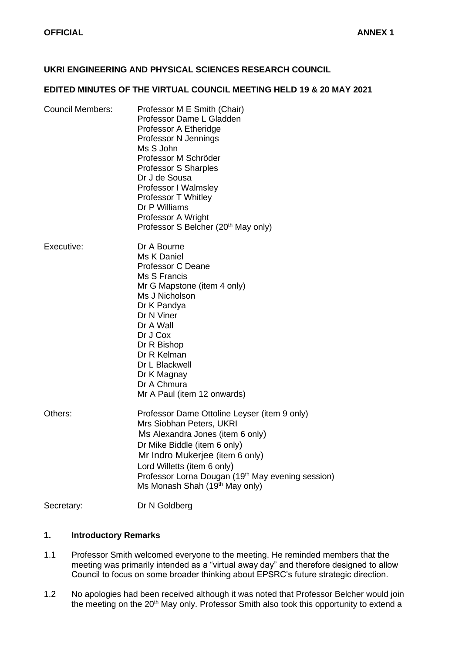# **UKRI ENGINEERING AND PHYSICAL SCIENCES RESEARCH COUNCIL**

#### **EDITED MINUTES OF THE VIRTUAL COUNCIL MEETING HELD 19 & 20 MAY 2021**

| <b>Council Members:</b> | Professor M E Smith (Chair)<br>Professor Dame L Gladden<br>Professor A Etheridge<br>Professor N Jennings<br>Ms S John<br>Professor M Schröder<br>Professor S Sharples<br>Dr J de Sousa<br>Professor I Walmsley<br>Professor T Whitley<br>Dr P Williams<br>Professor A Wright<br>Professor S Belcher (20 <sup>th</sup> May only) |
|-------------------------|---------------------------------------------------------------------------------------------------------------------------------------------------------------------------------------------------------------------------------------------------------------------------------------------------------------------------------|
| Executive:              | Dr A Bourne<br>Ms K Daniel<br><b>Professor C Deane</b><br>Ms S Francis<br>Mr G Mapstone (item 4 only)<br>Ms J Nicholson<br>Dr K Pandya<br>Dr N Viner<br>Dr A Wall<br>Dr J Cox<br>Dr R Bishop<br>Dr R Kelman<br>Dr L Blackwell<br>Dr K Magnay<br>Dr A Chmura<br>Mr A Paul (item 12 onwards)                                      |
| Others:                 | Professor Dame Ottoline Leyser (item 9 only)<br>Mrs Siobhan Peters, UKRI<br>Ms Alexandra Jones (item 6 only)<br>Dr Mike Biddle (item 6 only)<br>Mr Indro Mukerjee (item 6 only)<br>Lord Willetts (item 6 only)<br>Professor Lorna Dougan (19 <sup>th</sup> May evening session)<br>Ms Monash Shah (19 <sup>th</sup> May only)   |
| Secretary:              | Dr N Goldberg                                                                                                                                                                                                                                                                                                                   |

#### **1. Introductory Remarks**

- 1.1 Professor Smith welcomed everyone to the meeting. He reminded members that the meeting was primarily intended as a "virtual away day" and therefore designed to allow Council to focus on some broader thinking about EPSRC's future strategic direction.
- 1.2 No apologies had been received although it was noted that Professor Belcher would join the meeting on the 20<sup>th</sup> May only. Professor Smith also took this opportunity to extend a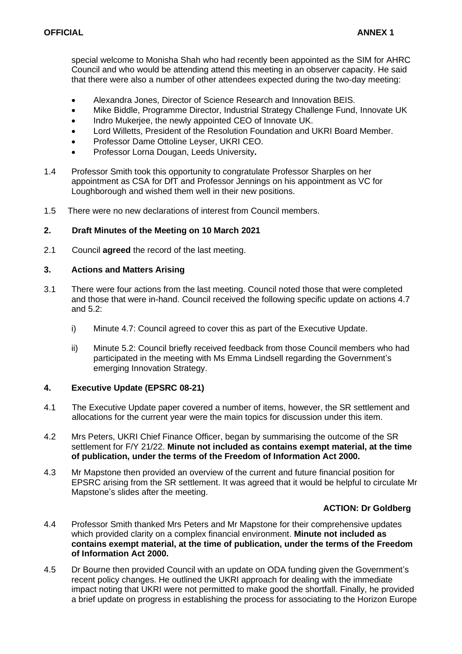special welcome to Monisha Shah who had recently been appointed as the SIM for AHRC Council and who would be attending attend this meeting in an observer capacity. He said that there were also a number of other attendees expected during the two-day meeting:

- Alexandra Jones, Director of Science Research and Innovation BEIS.
- Mike Biddle, Programme Director, Industrial Strategy Challenge Fund, Innovate UK
- Indro Mukerjee, the newly appointed CEO of Innovate UK.
- Lord Willetts, President of the Resolution Foundation and UKRI Board Member.
- Professor Dame Ottoline Leyser, UKRI CEO.
- Professor Lorna Dougan, Leeds University**.**
- 1.4 Professor Smith took this opportunity to congratulate Professor Sharples on her appointment as CSA for DfT and Professor Jennings on his appointment as VC for Loughborough and wished them well in their new positions.
- 1.5 There were no new declarations of interest from Council members.

# **2. Draft Minutes of the Meeting on 10 March 2021**

2.1 Council **agreed** the record of the last meeting.

## **3. Actions and Matters Arising**

- 3.1 There were four actions from the last meeting. Council noted those that were completed and those that were in-hand. Council received the following specific update on actions 4.7 and 5.2:
	- i) Minute 4.7: Council agreed to cover this as part of the Executive Update.
	- ii) Minute 5.2: Council briefly received feedback from those Council members who had participated in the meeting with Ms Emma Lindsell regarding the Government's emerging Innovation Strategy.

## **4. Executive Update (EPSRC 08-21)**

- 4.1 The Executive Update paper covered a number of items, however, the SR settlement and allocations for the current year were the main topics for discussion under this item.
- 4.2 Mrs Peters, UKRI Chief Finance Officer, began by summarising the outcome of the SR settlement for F/Y 21/22. **Minute not included as contains exempt material, at the time of publication, under the terms of the Freedom of Information Act 2000.**
- 4.3 Mr Mapstone then provided an overview of the current and future financial position for EPSRC arising from the SR settlement. It was agreed that it would be helpful to circulate Mr Mapstone's slides after the meeting.

# **ACTION: Dr Goldberg**

- 4.4 Professor Smith thanked Mrs Peters and Mr Mapstone for their comprehensive updates which provided clarity on a complex financial environment. **Minute not included as contains exempt material, at the time of publication, under the terms of the Freedom of Information Act 2000.**
- 4.5 Dr Bourne then provided Council with an update on ODA funding given the Government's recent policy changes. He outlined the UKRI approach for dealing with the immediate impact noting that UKRI were not permitted to make good the shortfall. Finally, he provided a brief update on progress in establishing the process for associating to the Horizon Europe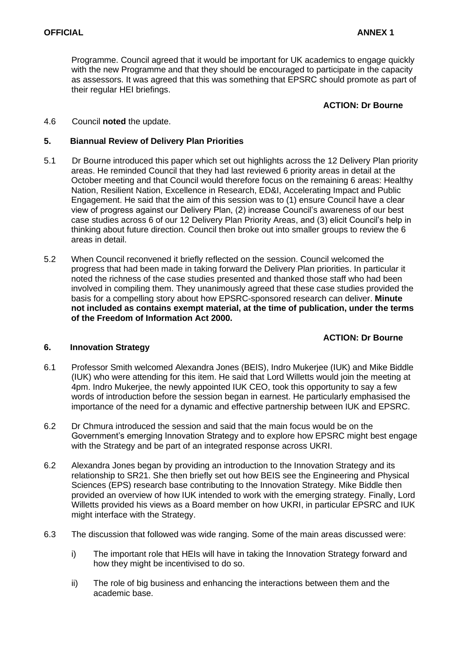Programme. Council agreed that it would be important for UK academics to engage quickly with the new Programme and that they should be encouraged to participate in the capacity as assessors. It was agreed that this was something that EPSRC should promote as part of their regular HEI briefings.

#### **ACTION: Dr Bourne**

4.6 Council **noted** the update.

#### **5. Biannual Review of Delivery Plan Priorities**

- 5.1 Dr Bourne introduced this paper which set out highlights across the 12 Delivery Plan priority areas. He reminded Council that they had last reviewed 6 priority areas in detail at the October meeting and that Council would therefore focus on the remaining 6 areas: Healthy Nation, Resilient Nation, Excellence in Research, ED&I, Accelerating Impact and Public Engagement. He said that the aim of this session was to (1) ensure Council have a clear view of progress against our Delivery Plan, (2) increase Council's awareness of our best case studies across 6 of our 12 Delivery Plan Priority Areas, and (3) elicit Council's help in thinking about future direction. Council then broke out into smaller groups to review the 6 areas in detail.
- 5.2 When Council reconvened it briefly reflected on the session. Council welcomed the progress that had been made in taking forward the Delivery Plan priorities. In particular it noted the richness of the case studies presented and thanked those staff who had been involved in compiling them. They unanimously agreed that these case studies provided the basis for a compelling story about how EPSRC-sponsored research can deliver. **Minute not included as contains exempt material, at the time of publication, under the terms of the Freedom of Information Act 2000.**

## **ACTION: Dr Bourne**

#### **6. Innovation Strategy**

- 6.1 Professor Smith welcomed Alexandra Jones (BEIS), Indro Mukerjee (IUK) and Mike Biddle (IUK) who were attending for this item. He said that Lord Willetts would join the meeting at 4pm. Indro Mukerjee, the newly appointed IUK CEO, took this opportunity to say a few words of introduction before the session began in earnest. He particularly emphasised the importance of the need for a dynamic and effective partnership between IUK and EPSRC.
- 6.2 Dr Chmura introduced the session and said that the main focus would be on the Government's emerging Innovation Strategy and to explore how EPSRC might best engage with the Strategy and be part of an integrated response across UKRI.
- 6.2 Alexandra Jones began by providing an introduction to the Innovation Strategy and its relationship to SR21. She then briefly set out how BEIS see the Engineering and Physical Sciences (EPS) research base contributing to the Innovation Strategy. Mike Biddle then provided an overview of how IUK intended to work with the emerging strategy. Finally, Lord Willetts provided his views as a Board member on how UKRI, in particular EPSRC and IUK might interface with the Strategy.
- 6.3 The discussion that followed was wide ranging. Some of the main areas discussed were:
	- i) The important role that HEIs will have in taking the Innovation Strategy forward and how they might be incentivised to do so.
	- ii) The role of big business and enhancing the interactions between them and the academic base.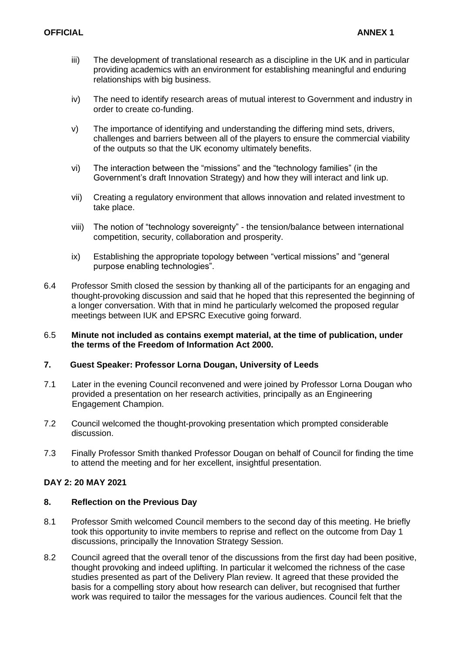- iii) The development of translational research as a discipline in the UK and in particular providing academics with an environment for establishing meaningful and enduring relationships with big business.
- iv) The need to identify research areas of mutual interest to Government and industry in order to create co-funding.
- v) The importance of identifying and understanding the differing mind sets, drivers, challenges and barriers between all of the players to ensure the commercial viability of the outputs so that the UK economy ultimately benefits.
- vi) The interaction between the "missions" and the "technology families" (in the Government's draft Innovation Strategy) and how they will interact and link up.
- vii) Creating a regulatory environment that allows innovation and related investment to take place.
- viii) The notion of "technology sovereignty" the tension/balance between international competition, security, collaboration and prosperity.
- ix) Establishing the appropriate topology between "vertical missions" and "general purpose enabling technologies".
- 6.4 Professor Smith closed the session by thanking all of the participants for an engaging and thought-provoking discussion and said that he hoped that this represented the beginning of a longer conversation. With that in mind he particularly welcomed the proposed regular meetings between IUK and EPSRC Executive going forward.

#### 6.5 **Minute not included as contains exempt material, at the time of publication, under the terms of the Freedom of Information Act 2000.**

## **7. Guest Speaker: Professor Lorna Dougan, University of Leeds**

- 7.1 Later in the evening Council reconvened and were joined by Professor Lorna Dougan who provided a presentation on her research activities, principally as an Engineering Engagement Champion.
- 7.2 Council welcomed the thought-provoking presentation which prompted considerable discussion.
- 7.3 Finally Professor Smith thanked Professor Dougan on behalf of Council for finding the time to attend the meeting and for her excellent, insightful presentation.

## **DAY 2: 20 MAY 2021**

## **8. Reflection on the Previous Day**

- 8.1 Professor Smith welcomed Council members to the second day of this meeting. He briefly took this opportunity to invite members to reprise and reflect on the outcome from Day 1 discussions, principally the Innovation Strategy Session.
- 8.2 Council agreed that the overall tenor of the discussions from the first day had been positive, thought provoking and indeed uplifting. In particular it welcomed the richness of the case studies presented as part of the Delivery Plan review. It agreed that these provided the basis for a compelling story about how research can deliver, but recognised that further work was required to tailor the messages for the various audiences. Council felt that the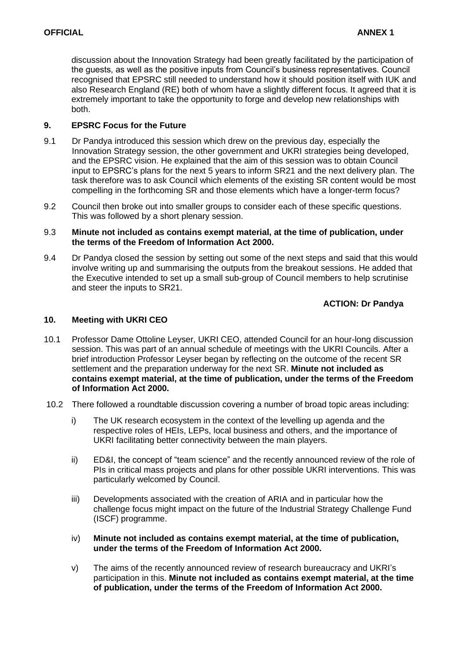discussion about the Innovation Strategy had been greatly facilitated by the participation of the guests, as well as the positive inputs from Council's business representatives. Council recognised that EPSRC still needed to understand how it should position itself with IUK and also Research England (RE) both of whom have a slightly different focus. It agreed that it is extremely important to take the opportunity to forge and develop new relationships with both.

# **9. EPSRC Focus for the Future**

- 9.1 Dr Pandya introduced this session which drew on the previous day, especially the Innovation Strategy session, the other government and UKRI strategies being developed, and the EPSRC vision. He explained that the aim of this session was to obtain Council input to EPSRC's plans for the next 5 years to inform SR21 and the next delivery plan. The task therefore was to ask Council which elements of the existing SR content would be most compelling in the forthcoming SR and those elements which have a longer-term focus?
- 9.2 Council then broke out into smaller groups to consider each of these specific questions. This was followed by a short plenary session.

#### 9.3 **Minute not included as contains exempt material, at the time of publication, under the terms of the Freedom of Information Act 2000.**

9.4 Dr Pandya closed the session by setting out some of the next steps and said that this would involve writing up and summarising the outputs from the breakout sessions. He added that the Executive intended to set up a small sub-group of Council members to help scrutinise and steer the inputs to SR21.

# **ACTION: Dr Pandya**

## **10. Meeting with UKRI CEO**

- 10.1 Professor Dame Ottoline Leyser, UKRI CEO, attended Council for an hour-long discussion session. This was part of an annual schedule of meetings with the UKRI Councils. After a brief introduction Professor Leyser began by reflecting on the outcome of the recent SR settlement and the preparation underway for the next SR. **Minute not included as contains exempt material, at the time of publication, under the terms of the Freedom of Information Act 2000.**
- 10.2 There followed a roundtable discussion covering a number of broad topic areas including:
	- i) The UK research ecosystem in the context of the levelling up agenda and the respective roles of HEIs, LEPs, local business and others, and the importance of UKRI facilitating better connectivity between the main players.
	- ii) ED&I, the concept of "team science" and the recently announced review of the role of PIs in critical mass projects and plans for other possible UKRI interventions. This was particularly welcomed by Council.
	- iii) Developments associated with the creation of ARIA and in particular how the challenge focus might impact on the future of the Industrial Strategy Challenge Fund (ISCF) programme.
	- iv) **Minute not included as contains exempt material, at the time of publication, under the terms of the Freedom of Information Act 2000.**
	- v) The aims of the recently announced review of research bureaucracy and UKRI's participation in this. **Minute not included as contains exempt material, at the time of publication, under the terms of the Freedom of Information Act 2000.**